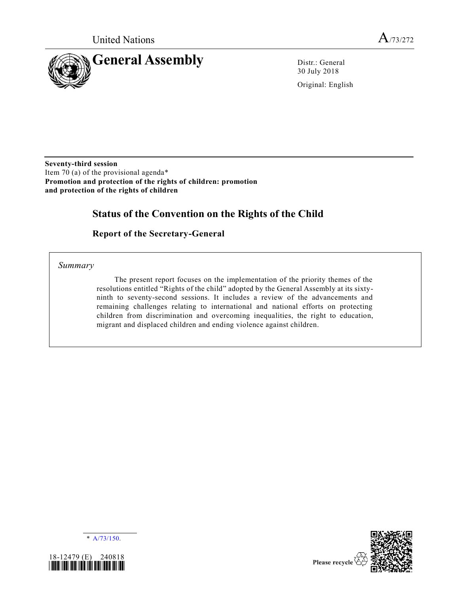

30 July 2018

Original: English

**Seventy-third session** Item 70 (a) of the provisional agenda\* **Promotion and protection of the rights of children: promotion and protection of the rights of children**

# **Status of the Convention on the Rights of the Child**

### **Report of the Secretary-General**

*Summary*

The present report focuses on the implementation of the priority themes of the resolutions entitled "Rights of the child" adopted by the General Assembly at its sixtyninth to seventy-second sessions. It includes a review of the advancements and remaining challenges relating to international and national efforts on protecting children from discrimination and overcoming inequalities, the right to education, migrant and displaced children and ending violence against children.





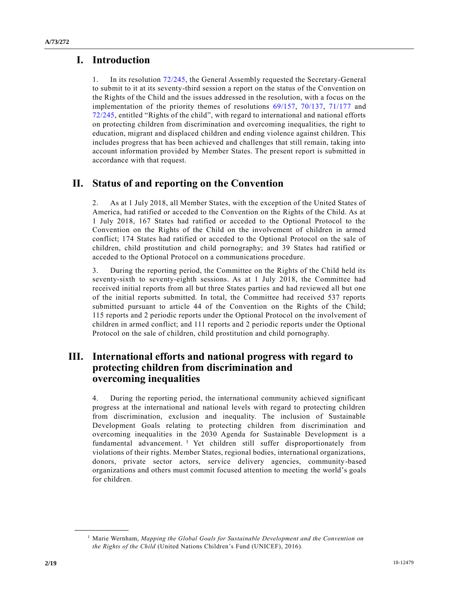# **I. Introduction**

1. In its resolution [72/245,](https://undocs.org/A/RES/72/245) the General Assembly requested the Secretary-General to submit to it at its seventy-third session a report on the status of the Convention on the Rights of the Child and the issues addressed in the resolution, with a focus on the implementation of the priority themes of resolutions [69/157,](https://undocs.org/A/RES/69/157) [70/137,](https://undocs.org/A/RES/70/137) [71/177](https://undocs.org/A/RES/71/177) and [72/245,](https://undocs.org/A/RES/72/245) entitled "Rights of the child", with regard to international and national efforts on protecting children from discrimination and overcoming inequalities, the right to education, migrant and displaced children and ending violence against children. This includes progress that has been achieved and challenges that still remain, taking into account information provided by Member States. The present report is submitted in accordance with that request.

# **II. Status of and reporting on the Convention**

2. As at 1 July 2018, all Member States, with the exception of the United States of America, had ratified or acceded to the Convention on the Rights of the Child. As at 1 July 2018, 167 States had ratified or acceded to the Optional Protocol to the Convention on the Rights of the Child on the involvement of children in armed conflict; 174 States had ratified or acceded to the Optional Protocol on the sale of children, child prostitution and child pornography; and 39 States had ratified or acceded to the Optional Protocol on a communications procedure.

3. During the reporting period, the Committee on the Rights of the Child held its seventy-sixth to seventy-eighth sessions. As at 1 July 2018, the Committee had received initial reports from all but three States parties and had reviewed all but one of the initial reports submitted. In total, the Committee had received 537 reports submitted pursuant to article 44 of the Convention on the Rights of the Child; 115 reports and 2 periodic reports under the Optional Protocol on the involvement of children in armed conflict; and 111 reports and 2 periodic reports under the Optional Protocol on the sale of children, child prostitution and child pornography.

## **III. International efforts and national progress with regard to protecting children from discrimination and overcoming inequalities**

4. During the reporting period, the international community achieved significant progress at the international and national levels with regard to protecting children from discrimination, exclusion and inequality. The inclusion of Sustainable Development Goals relating to protecting children from discrimination and overcoming inequalities in the 2030 Agenda for Sustainable Development is a fundamental advancement. <sup>1</sup> Yet children still suffer disproportionately from violations of their rights. Member States, regional bodies, international organizations, donors, private sector actors, service delivery agencies, community-based organizations and others must commit focused attention to meeting the world's goals for children.

<sup>1</sup> Marie Wernham, *Mapping the Global Goals for Sustainable Development and the Convention on the Rights of the Child* (United Nations Children's Fund (UNICEF), 2016).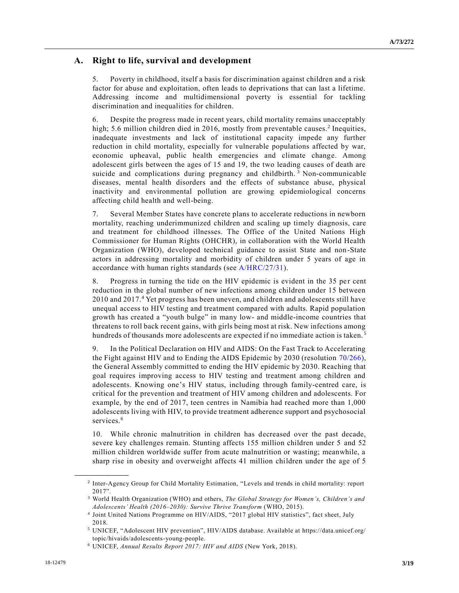### **A. Right to life, survival and development**

5. Poverty in childhood, itself a basis for discrimination against children and a risk factor for abuse and exploitation, often leads to deprivations that can last a lifetime. Addressing income and multidimensional poverty is essential for tackling discrimination and inequalities for children.

6. Despite the progress made in recent years, child mortality remains unacceptably high; 5.6 million children died in 2016, mostly from preventable causes.<sup>2</sup> Inequities, inadequate investments and lack of institutional capacity impede any further reduction in child mortality, especially for vulnerable populations affected by war, economic upheaval, public health emergencies and climate change. Among adolescent girls between the ages of 15 and 19, the two leading causes of death are suicide and complications during pregnancy and childbirth.<sup>3</sup> Non-communicable diseases, mental health disorders and the effects of substance abuse, physical inactivity and environmental pollution are growing epidemiological concerns affecting child health and well-being.

7. Several Member States have concrete plans to accelerate reductions in newborn mortality, reaching underimmunized children and scaling up timely diagnosis, care and treatment for childhood illnesses. The Office of the United Nations High Commissioner for Human Rights (OHCHR), in collaboration with the World Health Organization (WHO), developed technical guidance to assist State and non-State actors in addressing mortality and morbidity of children under 5 years of age in accordance with human rights standards (see [A/HRC/27/31\)](https://undocs.org/A/HRC/27/31).

8. Progress in turning the tide on the HIV epidemic is evident in the 35 per cent reduction in the global number of new infections among children under 15 between 2010 and 2017.<sup>4</sup> Yet progress has been uneven, and children and adolescents still have unequal access to HIV testing and treatment compared with adults. Rapid population growth has created a "youth bulge" in many low- and middle-income countries that threatens to roll back recent gains, with girls being most at risk. New infections among hundreds of thousands more adolescents are expected if no immediate action is taken.<sup>5</sup>

9. In the Political Declaration on HIV and AIDS: On the Fast Track to Accelerating the Fight against HIV and to Ending the AIDS Epidemic by 2030 (resolution [70/266\)](https://undocs.org/A/RES/70/266), the General Assembly committed to ending the HIV epidemic by 2030. Reaching that goal requires improving access to HIV testing and treatment among children and adolescents. Knowing one's HIV status, including through family-centred care, is critical for the prevention and treatment of HIV among children and adolescents. For example, by the end of 2017, teen centres in Namibia had reached more than 1,000 adolescents living with HIV, to provide treatment adherence support and psychosocial services.<sup>6</sup>

10. While chronic malnutrition in children has decreased over the past decade, severe key challenges remain. Stunting affects 155 million children under 5 and 52 million children worldwide suffer from acute malnutrition or wasting; meanwhile, a sharp rise in obesity and overweight affects 41 million children under the age of 5

<sup>2</sup> Inter-Agency Group for Child Mortality Estimation, "Levels and trends in child mortality: report 2017".

<sup>3</sup> World Health Organization (WHO) and others, *The Global Strategy for Women's, Children's and Adolescents' Health (2016–2030): Survive Thrive Transform* (WHO, 2015).

<sup>4</sup> Joint United Nations Programme on HIV/AIDS, "2017 global HIV statistics", fact sheet, July 2018.

<sup>5</sup> UNICEF, "Adolescent HIV prevention", HIV/AIDS database. Available at https://data.unicef.org/ topic/hivaids/adolescents-young-people.

<sup>6</sup> UNICEF, *Annual Results Report 2017: HIV and AIDS* (New York, 2018).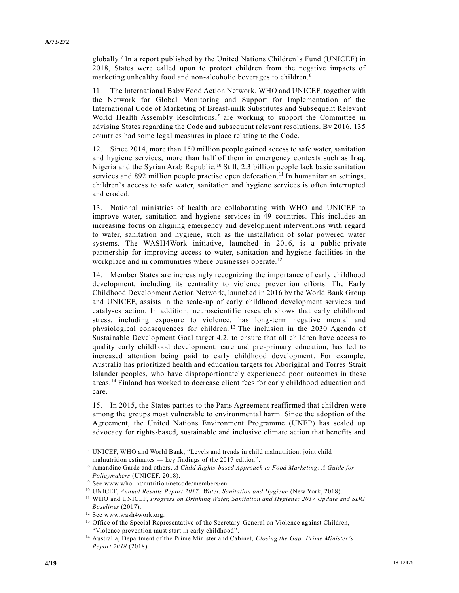globally.<sup>7</sup> In a report published by the United Nations Children's Fund (UNICEF) in 2018, States were called upon to protect children from the negative impacts of marketing unhealthy food and non-alcoholic beverages to children.<sup>8</sup>

11. The International Baby Food Action Network, WHO and UNICEF, together with the Network for Global Monitoring and Support for Implementation of the International Code of Marketing of Breast-milk Substitutes and Subsequent Relevant World Health Assembly Resolutions,<sup>9</sup> are working to support the Committee in advising States regarding the Code and subsequent relevant resolutions. By 2016, 135 countries had some legal measures in place relating to the Code.

12. Since 2014, more than 150 million people gained access to safe water, sanitation and hygiene services, more than half of them in emergency contexts such as Iraq, Nigeria and the Syrian Arab Republic. <sup>10</sup> Still, 2.3 billion people lack basic sanitation services and 892 million people practise open defecation.<sup>11</sup> In humanitarian settings, children's access to safe water, sanitation and hygiene services is often interrupted and eroded.

13. National ministries of health are collaborating with WHO and UNICEF to improve water, sanitation and hygiene services in 49 countries. This includes an increasing focus on aligning emergency and development interventions with regard to water, sanitation and hygiene, such as the installation of solar powered water systems. The WASH4Work initiative, launched in 2016, is a public-private partnership for improving access to water, sanitation and hygiene facilities in the workplace and in communities where businesses operate.<sup>12</sup>

14. Member States are increasingly recognizing the importance of early childhood development, including its centrality to violence prevention efforts. The Early Childhood Development Action Network, launched in 2016 by the World Bank Group and UNICEF, assists in the scale-up of early childhood development services and catalyses action. In addition, neuroscientific research shows that early childhood stress, including exposure to violence, has long-term negative mental and physiological consequences for children.<sup>13</sup> The inclusion in the 2030 Agenda of Sustainable Development Goal target 4.2, to ensure that all children have access to quality early childhood development, care and pre-primary education, has led to increased attention being paid to early childhood development. For example, Australia has prioritized health and education targets for Aboriginal and Torres Strait Islander peoples, who have disproportionately experienced poor outcomes in these areas.<sup>14</sup> Finland has worked to decrease client fees for early childhood education and care.

15. In 2015, the States parties to the Paris Agreement reaffirmed that children were among the groups most vulnerable to environmental harm. Since the adoption of the Agreement, the United Nations Environment Programme (UNEP) has scaled up advocacy for rights-based, sustainable and inclusive climate action that benefits and

<sup>7</sup> UNICEF, WHO and World Bank, "Levels and trends in child malnutrition: joint child malnutrition estimates — key findings of the 2017 edition".

<sup>8</sup> Amandine Garde and others, *A Child Rights-based Approach to Food Marketing: A Guide for Policymakers* (UNICEF, 2018).

<sup>9</sup> See www.who.int/nutrition/netcode/members/en.

<sup>10</sup> UNICEF, *Annual Results Report 2017: Water, Sanitation and Hygiene* (New York, 2018).

<sup>11</sup> WHO and UNICEF, *Progress on Drinking Water, Sanitation and Hygiene: 2017 Update and SDG Baselines* (2017).

<sup>12</sup> See www.wash4work.org.

<sup>&</sup>lt;sup>13</sup> Office of the Special Representative of the Secretary-General on Violence against Children, "Violence prevention must start in early childhood".

<sup>14</sup> Australia, Department of the Prime Minister and Cabinet, *Closing the Gap: Prime Minister's Report 2018* (2018).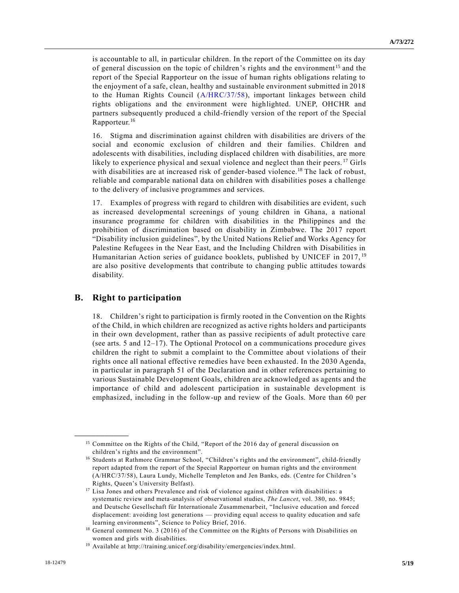is accountable to all, in particular children. In the report of the Committee on its day of general discussion on the topic of children's rights and the environment<sup>15</sup> and the report of the Special Rapporteur on the issue of human rights obligations relating to the enjoyment of a safe, clean, healthy and sustainable environment submitted in 2018 to the Human Rights Council [\(A/HRC/37/58\)](https://undocs.org/A/HRC/37/58), important linkages between child rights obligations and the environment were highlighted. UNEP, OHCHR and partners subsequently produced a child-friendly version of the report of the Special Rapporteur.<sup>16</sup>

16. Stigma and discrimination against children with disabilities are drivers of the social and economic exclusion of children and their families. Children and adolescents with disabilities, including displaced children with disabilities, are more likely to experience physical and sexual violence and neglect than their peers.<sup>17</sup> Girls with disabilities are at increased risk of gender-based violence.<sup>18</sup> The lack of robust, reliable and comparable national data on children with disabilities poses a challenge to the delivery of inclusive programmes and services.

17. Examples of progress with regard to children with disabilities are evident, such as increased developmental screenings of young children in Ghana, a national insurance programme for children with disabilities in the Philippines and the prohibition of discrimination based on disability in Zimbabwe. The 2017 report "Disability inclusion guidelines", by the United Nations Relief and Works Agency for Palestine Refugees in the Near East, and the Including Children with Disabilities in Humanitarian Action series of guidance booklets, published by UNICEF in 2017, <sup>19</sup> are also positive developments that contribute to changing public attitudes towards disability.

#### **B. Right to participation**

**\_\_\_\_\_\_\_\_\_\_\_\_\_\_\_\_\_\_**

18. Children's right to participation is firmly rooted in the Convention on the Rights of the Child, in which children are recognized as active rights holders and participants in their own development, rather than as passive recipients of adult protective care (see arts. 5 and 12–17). The Optional Protocol on a communications procedure gives children the right to submit a complaint to the Committee about violations of their rights once all national effective remedies have been exhausted. In the 2030 Agenda, in particular in paragraph 51 of the Declaration and in other references pertaining to various Sustainable Development Goals, children are acknowledged as agents and the importance of child and adolescent participation in sustainable development is emphasized, including in the follow-up and review of the Goals. More than 60 per

<sup>&</sup>lt;sup>15</sup> Committee on the Rights of the Child, "Report of the 2016 day of general discussion on children's rights and the environment".

<sup>16</sup> Students at Rathmore Grammar School, "Children's rights and the environment", child-friendly report adapted from the report of the Special Rapporteur on human rights and the environment (A/HRC/37/58), Laura Lundy, Michelle Templeton and Jen Banks, eds. (Centre for Children 's Rights, Queen's University Belfast).

<sup>&</sup>lt;sup>17</sup> Lisa Jones and others Prevalence and risk of violence against children with disabilities: a systematic review and meta-analysis of observational studies, *The Lancet*, vol. 380, no. 9845; and Deutsche Gesellschaft für Internationale Zusammenarbeit, "Inclusive education and forced displacement: avoiding lost generations — providing equal access to quality education and safe learning environments", Science to Policy Brief, 2016.

<sup>&</sup>lt;sup>18</sup> General comment No. 3 (2016) of the Committee on the Rights of Persons with Disabilities on women and girls with disabilities.

<sup>19</sup> Available at http://training.unicef.org/disability/emergencies/index.html.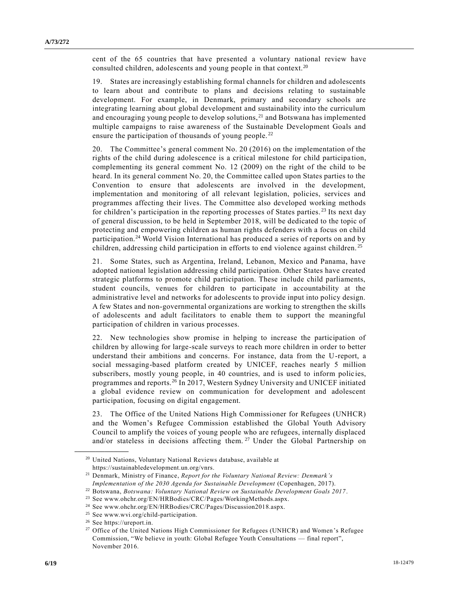cent of the 65 countries that have presented a voluntary national review have consulted children, adolescents and young people in that context.<sup>20</sup>

19. States are increasingly establishing formal channels for children and adolescents to learn about and contribute to plans and decisions relating to sustainable development. For example, in Denmark, primary and secondary schools are integrating learning about global development and sustainability into the curriculum and encouraging young people to develop solutions, $^{21}$  and Botswana has implemented multiple campaigns to raise awareness of the Sustainable Development Goals and ensure the participation of thousands of young people.<sup>22</sup>

20. The Committee's general comment No. 20 (2016) on the implementation of the rights of the child during adolescence is a critical milestone for child participa tion, complementing its general comment No. 12 (2009) on the right of the child to be heard. In its general comment No. 20, the Committee called upon States parties to the Convention to ensure that adolescents are involved in the development, implementation and monitoring of all relevant legislation, policies, services and programmes affecting their lives. The Committee also developed working methods for children's participation in the reporting processes of States parties.<sup>23</sup> Its next day of general discussion, to be held in September 2018, will be dedicated to the topic of protecting and empowering children as human rights defenders with a focus on child participation.<sup>24</sup> World Vision International has produced a series of reports on and by children, addressing child participation in efforts to end violence against children.<sup>25</sup>

21. Some States, such as Argentina, Ireland, Lebanon, Mexico and Panama, have adopted national legislation addressing child participation. Other States have created strategic platforms to promote child participation. These include child parliaments, student councils, venues for children to participate in accountability at the administrative level and networks for adolescents to provide input into policy design. A few States and non-governmental organizations are working to strengthen the skills of adolescents and adult facilitators to enable them to support the meaningful participation of children in various processes.

22. New technologies show promise in helping to increase the participation of children by allowing for large-scale surveys to reach more children in order to better understand their ambitions and concerns. For instance, data from the U-report, a social messaging-based platform created by UNICEF, reaches nearly 5 million subscribers, mostly young people, in 40 countries, and is used to inform policies, programmes and reports.<sup>26</sup> In 2017, Western Sydney University and UNICEF initiated a global evidence review on communication for development and adolescent participation, focusing on digital engagement.

23. The Office of the United Nations High Commissioner for Refugees (UNHCR) and the Women's Refugee Commission established the Global Youth Advisory Council to amplify the voices of young people who are refugees, internally displaced and/or stateless in decisions affecting them.<sup>27</sup> Under the Global Partnership on

<sup>20</sup> United Nations, Voluntary National Reviews database, available at https://sustainabledevelopment.un.org/vnrs.

<sup>21</sup> Denmark, Ministry of Finance, *Report for the Voluntary National Review: Denmark's Implementation of the 2030 Agenda for Sustainable Development* (Copenhagen, 2017).

<sup>22</sup> Botswana, *Botswana: Voluntary National Review on Sustainable Development Goals 2017*.

<sup>23</sup> See www.ohchr.org/EN/HRBodies/CRC/Pages/WorkingMethods.aspx.

<sup>24</sup> See www.ohchr.org/EN/HRBodies/CRC/Pages/Discussion2018.aspx.

<sup>25</sup> See www.wvi.org/child-participation.

<sup>26</sup> See https://ureport.in.

<sup>&</sup>lt;sup>27</sup> Office of the United Nations High Commissioner for Refugees (UNHCR) and Women's Refugee Commission, "We believe in youth: Global Refugee Youth Consultations — final report", November 2016.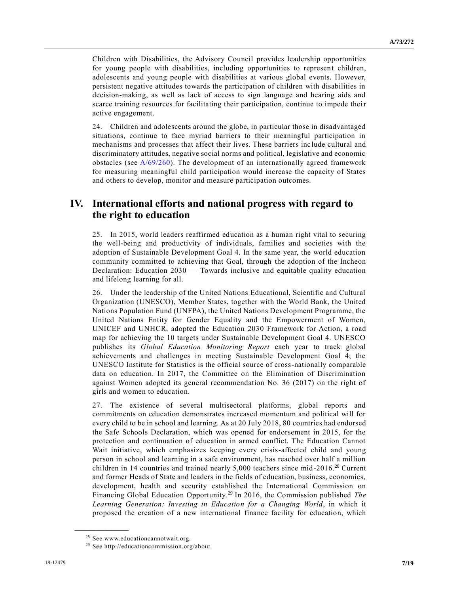Children with Disabilities, the Advisory Council provides leadership opportunities for young people with disabilities, including opportunities to represent children, adolescents and young people with disabilities at various global events. However, persistent negative attitudes towards the participation of children with disabilities in decision-making, as well as lack of access to sign language and hearing aids and scarce training resources for facilitating their participation, continue to impede their active engagement.

24. Children and adolescents around the globe, in particular those in disadvantaged situations, continue to face myriad barriers to their meaningful participation in mechanisms and processes that affect their lives. These barriers inc lude cultural and discriminatory attitudes, negative social norms and political, legislative and economic obstacles (see  $A/69/260$ ). The development of an internationally agreed framework for measuring meaningful child participation would increase the capacity of States and others to develop, monitor and measure participation outcomes.

# **IV. International efforts and national progress with regard to the right to education**

25. In 2015, world leaders reaffirmed education as a human right vital to securing the well-being and productivity of individuals, families and societies with the adoption of Sustainable Development Goal 4. In the same year, the world education community committed to achieving that Goal, through the adoption of the Incheon Declaration: Education 2030 — Towards inclusive and equitable quality education and lifelong learning for all.

26. Under the leadership of the United Nations Educational, Scientific and Cultural Organization (UNESCO), Member States, together with the World Bank, the United Nations Population Fund (UNFPA), the United Nations Development Programme, the United Nations Entity for Gender Equality and the Empowerment of Women, UNICEF and UNHCR, adopted the Education 2030 Framework for Action, a road map for achieving the 10 targets under Sustainable Development Goal 4. UNESCO publishes its *Global Education Monitoring Report* each year to track global achievements and challenges in meeting Sustainable Development Goal 4; the UNESCO Institute for Statistics is the official source of cross-nationally comparable data on education. In 2017, the Committee on the Elimination of Discrimination against Women adopted its general recommendation No. 36 (2017) on the right of girls and women to education.

27. The existence of several multisectoral platforms, global reports and commitments on education demonstrates increased momentum and political will for every child to be in school and learning. As at 20 July 2018, 80 countries had endorsed the Safe Schools Declaration, which was opened for endorsement in 2015, for the protection and continuation of education in armed conflict. The Education Cannot Wait initiative, which emphasizes keeping every crisis-affected child and young person in school and learning in a safe environment, has reached over half a million children in 14 countries and trained nearly 5,000 teachers since mid-2016.<sup>28</sup> Current and former Heads of State and leaders in the fields of education, business, economics, development, health and security established the International Commission on Financing Global Education Opportunity. <sup>29</sup> In 2016, the Commission published *The Learning Generation: Investing in Education for a Changing World*, in which it proposed the creation of a new international finance facility for education, which

<sup>&</sup>lt;sup>28</sup> See www.educationcannotwait.org.

<sup>29</sup> See http://educationcommission.org/about.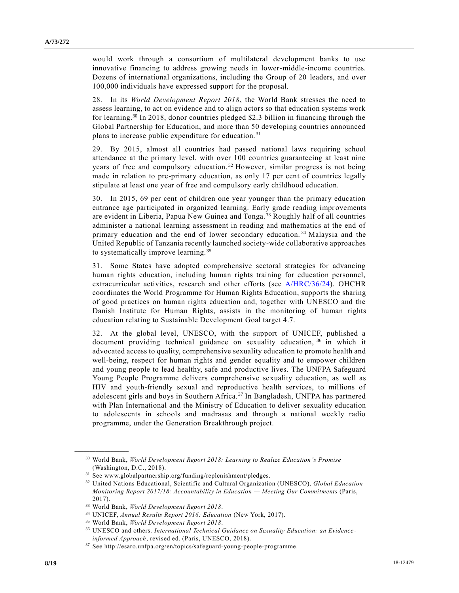would work through a consortium of multilateral development banks to use innovative financing to address growing needs in lower-middle-income countries. Dozens of international organizations, including the Group of 20 leaders, and over 100,000 individuals have expressed support for the proposal.

28. In its *World Development Report 2018*, the World Bank stresses the need to assess learning, to act on evidence and to align actors so that education systems work for learning.<sup>30</sup> In 2018, donor countries pledged \$2.3 billion in financing through the Global Partnership for Education, and more than 50 developing countries announced plans to increase public expenditure for education. <sup>31</sup>

29. By 2015, almost all countries had passed national laws requiring school attendance at the primary level, with over 100 countries guaranteeing at least nine years of free and compulsory education.<sup>32</sup> However, similar progress is not being made in relation to pre-primary education, as only 17 per cent of countries legally stipulate at least one year of free and compulsory early childhood education.

30. In 2015, 69 per cent of children one year younger than the primary education entrance age participated in organized learning. Early grade reading improvements are evident in Liberia, Papua New Guinea and Tonga. <sup>33</sup> Roughly half of all countries administer a national learning assessment in reading and mathematics at the end of primary education and the end of lower secondary education.<sup>34</sup> Malaysia and the United Republic of Tanzania recently launched society-wide collaborative approaches to systematically improve learning.<sup>35</sup>

31. Some States have adopted comprehensive sectoral strategies for advancing human rights education, including human rights training for education personnel, extracurricular activities, research and other efforts (see [A/HRC/36/24\)](https://undocs.org/A/HRC/36/24). OHCHR coordinates the World Programme for Human Rights Education, supports the sharing of good practices on human rights education and, together with UNESCO and the Danish Institute for Human Rights, assists in the monitoring of human rights education relating to Sustainable Development Goal target 4.7.

32. At the global level, UNESCO, with the support of UNICEF, published a document providing technical guidance on sexuality education, <sup>36</sup> in which it advocated access to quality, comprehensive sexuality education to promote health and well-being, respect for human rights and gender equality and to empower children and young people to lead healthy, safe and productive lives. The UNFPA Safeguard Young People Programme delivers comprehensive sexuality education, as well as HIV and youth-friendly sexual and reproductive health services, to millions of adolescent girls and boys in Southern Africa. <sup>37</sup> In Bangladesh, UNFPA has partnered with Plan International and the Ministry of Education to deliver sexuality education to adolescents in schools and madrasas and through a national weekly radio programme, under the Generation Breakthrough project.

<sup>30</sup> World Bank, *World Development Report 2018: Learning to Realize Education's Promise* (Washington, D.C., 2018).

<sup>31</sup> See www.globalpartnership.org/funding/replenishment/pledges.

<sup>32</sup> United Nations Educational, Scientific and Cultural Organization (UNESCO), *Global Education Monitoring Report 2017/18: Accountability in Education — Meeting Our Commitments* (Paris, 2017).

<sup>33</sup> World Bank, *World Development Report 2018*.

<sup>34</sup> UNICEF, *Annual Results Report 2016: Education* (New York, 2017).

<sup>35</sup> World Bank, *World Development Report 2018*.

<sup>36</sup> UNESCO and others*, International Technical Guidance on Sexuality Education: an Evidenceinformed Approach*, revised ed. (Paris, UNESCO, 2018).

 $^{37}$  See http://esaro.unfpa.org/en/topics/safeguard-young-people-programme.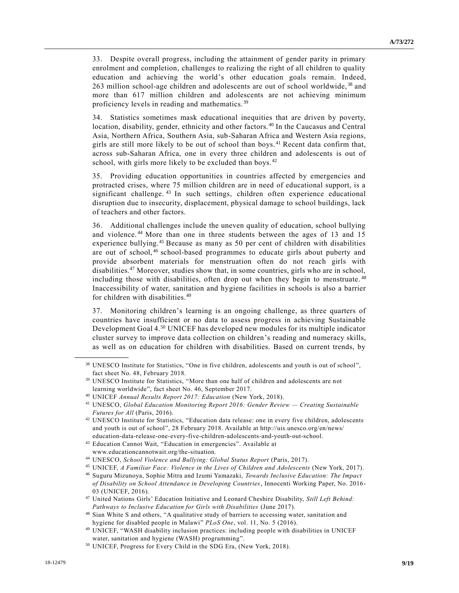33. Despite overall progress, including the attainment of gender parity in primary enrolment and completion, challenges to realizing the right of all children to quality education and achieving the world's other education goals remain. Indeed, 263 million school-age children and adolescents are out of school worldwide, <sup>38</sup> and more than 617 million children and adolescents are not achieving minimum proficiency levels in reading and mathematics. <sup>39</sup>

34. Statistics sometimes mask educational inequities that are driven by poverty, location, disability, gender, ethnicity and other factors. <sup>40</sup> In the Caucasus and Central Asia, Northern Africa, Southern Asia, sub-Saharan Africa and Western Asia regions, girls are still more likely to be out of school than boys. <sup>41</sup> Recent data confirm that, across sub-Saharan Africa, one in every three children and adolescents is out of school, with girls more likely to be excluded than boys.<sup>42</sup>

35. Providing education opportunities in countries affected by emergencies and protracted crises, where 75 million children are in need of educational support, is a significant challenge.<sup>43</sup> In such settings, children often experience educational disruption due to insecurity, displacement, physical damage to school buildings, lack of teachers and other factors.

36. Additional challenges include the uneven quality of education, school bullying and violence. <sup>44</sup> More than one in three students between the ages of 13 and 15 experience bullying.<sup>45</sup> Because as many as 50 per cent of children with disabilities are out of school, <sup>46</sup> school-based programmes to educate girls about puberty and provide absorbent materials for menstruation often do not reach girls with disabilities.<sup>47</sup> Moreover, studies show that, in some countries, girls who are in school, including those with disabilities, often drop out when they begin to menstruate.<sup>48</sup> Inaccessibility of water, sanitation and hygiene facilities in schools is also a barrier for children with disabilities.<sup>49</sup>

37. Monitoring children's learning is an ongoing challenge, as three quarters of countries have insufficient or no data to assess progress in achieving Sustainable Development Goal 4.<sup>50</sup> UNICEF has developed new modules for its multiple indicator cluster survey to improve data collection on children's reading and numeracy skills, as well as on education for children with disabilities. Based on current trends, by

<sup>38</sup> UNESCO Institute for Statistics, "One in five children, adolescents and youth is out of school", fact sheet No. 48, February 2018.

<sup>39</sup> UNESCO Institute for Statistics, "More than one half of children and adolescents are not learning worldwide", fact sheet No. 46, September 2017.

<sup>40</sup> UNICEF *Annual Results Report 2017: Education* (New York, 2018).

<sup>41</sup> UNESCO, *Global Education Monitoring Report 2016: Gender Review — Creating Sustainable Futures for All* (Paris, 2016).

<sup>42</sup> UNESCO Institute for Statistics, "Education data release: one in every five children, adolescents and youth is out of school", 28 February 2018. Available at http://uis.unesco.org/en/news/ education-data-release-one-every-five-children-adolescents-and-youth-out-school.

<sup>43</sup> Education Cannot Wait, "Education in emergencies". Available at www.educationcannotwait.org/the-situation.

<sup>44</sup> UNESCO, *School Violence and Bullying: Global Status Report* (Paris, 2017).

<sup>45</sup> UNICEF, *A Familiar Face: Violence in the Lives of Children and Adolescents* (New York, 2017).

<sup>46</sup> Suguru Mizunoya, Sophie Mitra and Izumi Yamazaki, *Towards Inclusive Education: The Impact of Disability on School Attendance in Developing Countries*, Innocenti Working Paper, No. 2016- 03 (UNICEF, 2016).

<sup>47</sup> United Nations Girls' Education Initiative and Leonard Cheshire Disability, *Still Left Behind: Pathways to Inclusive Education for Girls with Disabilities* (June 2017).

<sup>48</sup> Sian White S and others, "A qualitative study of barriers to accessing water, sanitation and hygiene for disabled people in Malawi" *PLoS One*, vol. 11, No. 5 (2016).

<sup>49</sup> UNICEF, "WASH disability inclusion practices: including people with disabilities in UNICEF water, sanitation and hygiene (WASH) programming".

<sup>50</sup> UNICEF, Progress for Every Child in the SDG Era, (New York, 2018).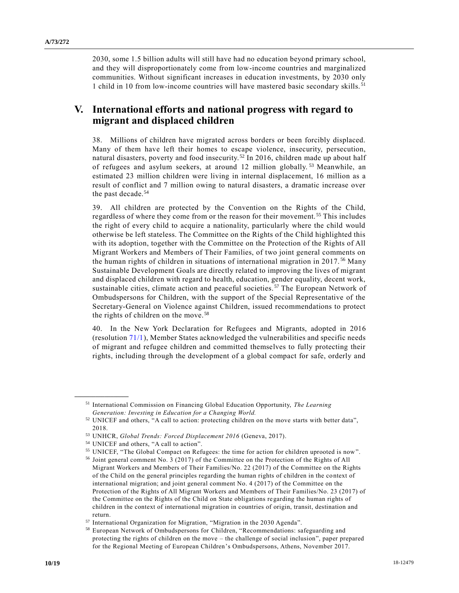2030, some 1.5 billion adults will still have had no education beyond primary school, and they will disproportionately come from low-income countries and marginalized communities. Without significant increases in education investments, by 2030 only 1 child in 10 from low-income countries will have mastered basic secondary skills. <sup>51</sup>

## **V. International efforts and national progress with regard to migrant and displaced children**

38. Millions of children have migrated across borders or been forcibly displaced. Many of them have left their homes to escape violence, insecurity, persecution, natural disasters, poverty and food insecurity.<sup>52</sup> In 2016, children made up about half of refugees and asylum seekers, at around 12 million globally.<sup>53</sup> Meanwhile, an estimated 23 million children were living in internal displacement, 16 million as a result of conflict and 7 million owing to natural disasters, a dramatic increase over the past decade.<sup>54</sup>

39. All children are protected by the Convention on the Rights of the Child, regardless of where they come from or the reason for their movement. <sup>55</sup> This includes the right of every child to acquire a nationality, particularly where the child would otherwise be left stateless. The Committee on the Rights of the Child highlighted this with its adoption, together with the Committee on the Protection of the Rights of All Migrant Workers and Members of Their Families, of two joint general comments on the human rights of children in situations of international migration in 2017.<sup>56</sup> Many Sustainable Development Goals are directly related to improving the lives of migrant and displaced children with regard to health, education, gender equality, decent work, sustainable cities, climate action and peaceful societies. <sup>57</sup> The European Network of Ombudspersons for Children, with the support of the Special Representative of the Secretary-General on Violence against Children, issued recommendations to protect the rights of children on the move.<sup>58</sup>

40. In the New York Declaration for Refugees and Migrants, adopted in 2016 (resolution [71/1\)](https://undocs.org/A/RES/71/1), Member States acknowledged the vulnerabilities and specific needs of migrant and refugee children and committed themselves to fully protecting their rights, including through the development of a global compact for safe, orderly and

<sup>51</sup> International Commission on Financing Global Education Opportunity, *The Learning Generation: Investing in Education for a Changing World.*

<sup>&</sup>lt;sup>52</sup> UNICEF and others, "A call to action: protecting children on the move starts with better data", 2018.

<sup>53</sup> UNHCR, *Global Trends: Forced Displacement 2016* (Geneva, 2017).

<sup>54</sup> UNICEF and others, "A call to action".

<sup>55</sup> UNICEF, "The Global Compact on Refugees: the time for action for children uprooted is now".

<sup>56</sup> Joint general comment No. 3 (2017) of the Committee on the Protection of the Rights of All Migrant Workers and Members of Their Families/No. 22 (2017) of the Committee on the Rights of the Child on the general principles regarding the human rights of children in the co ntext of international migration; and joint general comment No. 4 (2017) of the Committee on the Protection of the Rights of All Migrant Workers and Members of Their Families/No. 23 (2017) of the Committee on the Rights of the Child on State obligations regarding the human rights of children in the context of international migration in countries of origin, transit, destination and return.

<sup>57</sup> International Organization for Migration, "Migration in the 2030 Agenda".

<sup>58</sup> European Network of Ombudspersons for Children, "Recommendations: safeguarding and protecting the rights of children on the move – the challenge of social inclusion", paper prepared for the Regional Meeting of European Children's Ombudspersons, Athens, November 2017.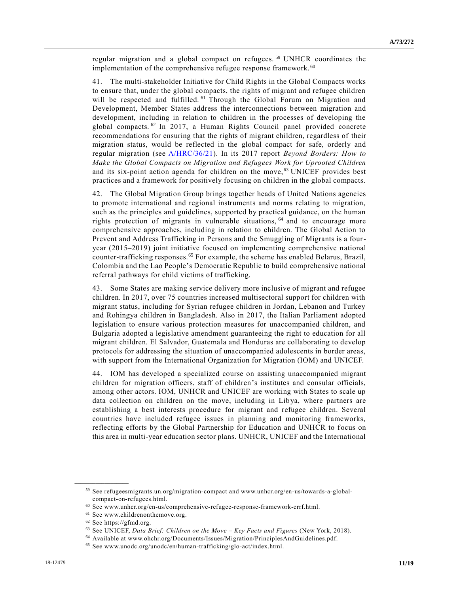regular migration and a global compact on refugees.<sup>59</sup> UNHCR coordinates the implementation of the comprehensive refugee response framework.<sup>60</sup>

41. The multi-stakeholder Initiative for Child Rights in the Global Compacts works to ensure that, under the global compacts, the rights of migrant and refugee children will be respected and fulfilled. <sup>61</sup> Through the Global Forum on Migration and Development, Member States address the interconnections between migration and development, including in relation to children in the processes of developing the global compacts. <sup>62</sup> In 2017, a Human Rights Council panel provided concrete recommendations for ensuring that the rights of migrant children, regardless of their migration status, would be reflected in the global compact for safe, orderly and regular migration (see [A/HRC/36/21\)](https://undocs.org/A/HRC/36/21). In its 2017 report *Beyond Borders: How to Make the Global Compacts on Migration and Refugees Work for Uprooted Children* and its six-point action agenda for children on the move, <sup>63</sup> UNICEF provides best practices and a framework for positively focusing on children in the global compacts.

42. The Global Migration Group brings together heads of United Nations agencies to promote international and regional instruments and norms relating to migration, such as the principles and guidelines, supported by practical guidance, on the human rights protection of migrants in vulnerable situations, <sup>64</sup> and to encourage more comprehensive approaches, including in relation to children. The Global Action to Prevent and Address Trafficking in Persons and the Smuggling of Migrants is a fouryear (2015–2019) joint initiative focused on implementing comprehensive national counter-trafficking responses.<sup>65</sup> For example, the scheme has enabled Belarus, Brazil, Colombia and the Lao People's Democratic Republic to build comprehensive national referral pathways for child victims of trafficking.

43. Some States are making service delivery more inclusive of migrant and refugee children. In 2017, over 75 countries increased multisectoral support for children with migrant status, including for Syrian refugee children in Jordan, Lebanon and Turkey and Rohingya children in Bangladesh. Also in 2017, the Italian Parliament adopted legislation to ensure various protection measures for unaccompanied children, and Bulgaria adopted a legislative amendment guaranteeing the right to education for all migrant children. El Salvador, Guatemala and Honduras are collaborating to develop protocols for addressing the situation of unaccompanied adolescents in border areas, with support from the International Organization for Migration (IOM) and UNICEF.

44. IOM has developed a specialized course on assisting unaccompanied migrant children for migration officers, staff of children's institutes and consular officials, among other actors. IOM, UNHCR and UNICEF are working with States to scale up data collection on children on the move, including in Libya, where partners are establishing a best interests procedure for migrant and refugee children. Several countries have included refugee issues in planning and monitoring frameworks, reflecting efforts by the Global Partnership for Education and UNHCR to focus on this area in multi-year education sector plans. UNHCR, UNICEF and the International

<sup>59</sup> See refugeesmigrants.un.org/migration-compact and www.unhcr.org/en-us/towards-a-globalcompact-on-refugees.html.

 $^{60}$  See www.unhcr.org/en-us/comprehensive-refugee-response-framework-crrf.html.

<sup>61</sup> See www.childrenonthemove.org.

<sup>62</sup> See https://gfmd.org.

<sup>63</sup> See UNICEF, *Data Brief: Children on the Move – Key Facts and Figures* (New York, 2018).

<sup>64</sup> Available at www.ohchr.org/Documents/Issues/Migration/PrinciplesAndGuidelines.pdf.

<sup>65</sup> See www.unodc.org/unodc/en/human-trafficking/glo-act/index.html.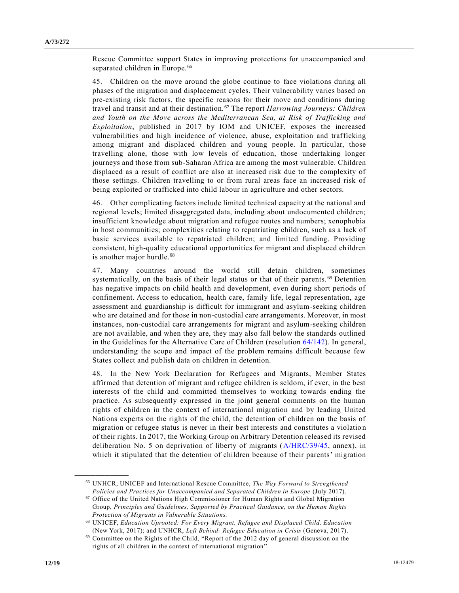Rescue Committee support States in improving protections for unaccompanied and separated children in Europe.<sup>66</sup>

45. Children on the move around the globe continue to face violations during all phases of the migration and displacement cycles. Their vulnerability varies based on pre-existing risk factors, the specific reasons for their move and conditions during travel and transit and at their destination. <sup>67</sup> The report *Harrowing Journeys: Children and Youth on the Move across the Mediterranean Sea, at Risk of Trafficking and Exploitation*, published in 2017 by IOM and UNICEF, exposes the increased vulnerabilities and high incidence of violence, abuse, exploitation and trafficking among migrant and displaced children and young people. In particular, those travelling alone, those with low levels of education, those undertaking longer journeys and those from sub-Saharan Africa are among the most vulnerable. Children displaced as a result of conflict are also at increased risk due to the complexity of those settings. Children travelling to or from rural areas face an increased risk of being exploited or trafficked into child labour in agriculture and other sectors.

46. Other complicating factors include limited technical capacity at the national and regional levels; limited disaggregated data, including about undocumented children; insufficient knowledge about migration and refugee routes and numbers; xenophobia in host communities; complexities relating to repatriating children, such as a lack of basic services available to repatriated children; and limited funding. Providing consistent, high-quality educational opportunities for migrant and displaced children is another major hurdle.<sup>68</sup>

47. Many countries around the world still detain children, sometimes systematically, on the basis of their legal status or that of their parents.<sup>69</sup> Detention has negative impacts on child health and development, even during short periods of confinement. Access to education, health care, family life, legal representation, age assessment and guardianship is difficult for immigrant and asylum-seeking children who are detained and for those in non-custodial care arrangements. Moreover, in most instances, non-custodial care arrangements for migrant and asylum-seeking children are not available, and when they are, they may also fall below the standards outlined in the Guidelines for the Alternative Care of Children (resolution [64/142\)](https://undocs.org/A/RES/64/142). In general, understanding the scope and impact of the problem remains difficult because few States collect and publish data on children in detention.

48. In the New York Declaration for Refugees and Migrants, Member States affirmed that detention of migrant and refugee children is seldom, if ever, in the best interests of the child and committed themselves to working towards ending the practice. As subsequently expressed in the joint general comments on the human rights of children in the context of international migration and by leading United Nations experts on the rights of the child, the detention of children on the basis of migration or refugee status is never in their best interests and constitutes a violatio n of their rights. In 2017, the Working Group on Arbitrary Detention released its revised deliberation No. 5 on deprivation of liberty of migrants [\(A/HRC/39/45,](https://undocs.org/A/HRC/39/45) annex), in which it stipulated that the detention of children because of their parents' migration

<sup>66</sup> UNHCR, UNICEF and International Rescue Committee, *The Way Forward to Strengthened Policies and Practices for Unaccompanied and Separated Children in Europe* (July 2017).

 $^{67}$  Office of the United Nations High Commissioner for Human Rights and Global Migration Group, *Principles and Guidelines, Supported by Practical Guidance, on the Human Rights Protection of Migrants in Vulnerable Situations.*

<sup>68</sup> UNICEF, *Education Uprooted: For Every Migrant, Refugee and Displaced Child, Education* (New York, 2017); and UNHCR, *Left Behind: Refugee Education in Crisis* (Geneva, 2017).

 $69$  Committee on the Rights of the Child, "Report of the 2012 day of general discussion on the rights of all children in the context of international migration".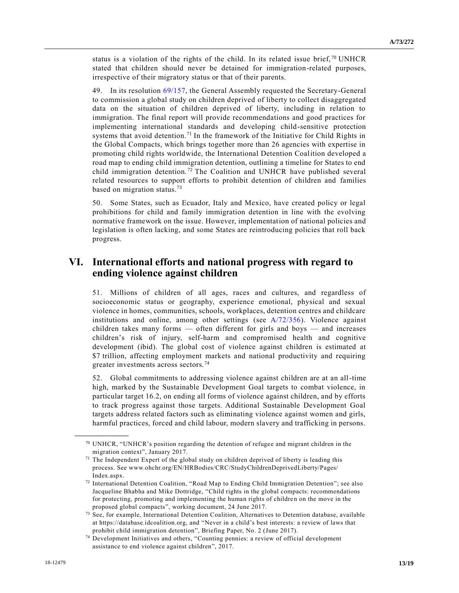status is a violation of the rights of the child. In its related issue brief,  $\frac{70}{10}$  UNHCR stated that children should never be detained for immigration-related purposes, irrespective of their migratory status or that of their parents.

49. In its resolution [69/157,](https://undocs.org/A/RES/69/157) the General Assembly requested the Secretary-General to commission a global study on children deprived of liberty to collect disaggregated data on the situation of children deprived of liberty, including in relation to immigration. The final report will provide recommendations and good practices for implementing international standards and developing child-sensitive protection systems that avoid detention.<sup>71</sup> In the framework of the Initiative for Child Rights in the Global Compacts, which brings together more than 26 agencies with expertise in promoting child rights worldwide, the International Detention Coalition developed a road map to ending child immigration detention, outlining a timeline for States to end child immigration detention.<sup>72</sup> The Coalition and UNHCR have published several related resources to support efforts to prohibit detention of children and families based on migration status.<sup>73</sup>

50. Some States, such as Ecuador, Italy and Mexico, have created policy or legal prohibitions for child and family immigration detention in line with the evolving normative framework on the issue. However, implementation of national policies and legislation is often lacking, and some States are reintroducing policies that roll back progress.

## **VI. International efforts and national progress with regard to ending violence against children**

51. Millions of children of all ages, races and cultures, and regardless of socioeconomic status or geography, experience emotional, physical and sexual violence in homes, communities, schools, workplaces, detention centres and childcare institutions and online, among other settings (see [A/72/356\)](https://undocs.org/A/72/356). Violence against children takes many forms — often different for girls and boys — and increases children's risk of injury, self-harm and compromised health and cognitive development (ibid). The global cost of violence against children is estimated at \$7 trillion, affecting employment markets and national productivity and requiring greater investments across sectors.<sup>74</sup>

52. Global commitments to addressing violence against children are at an all-time high, marked by the Sustainable Development Goal targets to combat violence, in particular target 16.2, on ending all forms of violence against children, and by efforts to track progress against those targets. Additional Sustainable Development Goal targets address related factors such as eliminating violence against women and girls, harmful practices, forced and child labour, modern slavery and trafficking in persons.

 $70$  UNHCR, "UNHCR's position regarding the detention of refugee and migrant children in the migration context", January 2017.

 $71$  The Independent Expert of the global study on children deprived of liberty is leading this process. See www.ohchr.org/EN/HRBodies/CRC/StudyChildrenDeprivedLiberty/Pages/ Index.aspx.

<sup>72</sup> International Detention Coalition, "Road Map to Ending Child Immigration Detention"; see also Jacqueline Bhabha and Mike Dottridge, "Child rights in the global compacts: recommendations for protecting, promoting and implementing the human rights of children on the move in the proposed global compacts", working document, 24 June 2017.

<sup>&</sup>lt;sup>73</sup> See, for example, International Detention Coalition, Alternatives to Detention database, available at https://database.idcoalition.org, and "Never in a child's best interests: a review of laws that prohibit child immigration detention", Briefing Paper, No. 2 (June 2017).

<sup>74</sup> Development Initiatives and others, "Counting pennies: a review of official development assistance to end violence against children", 2017.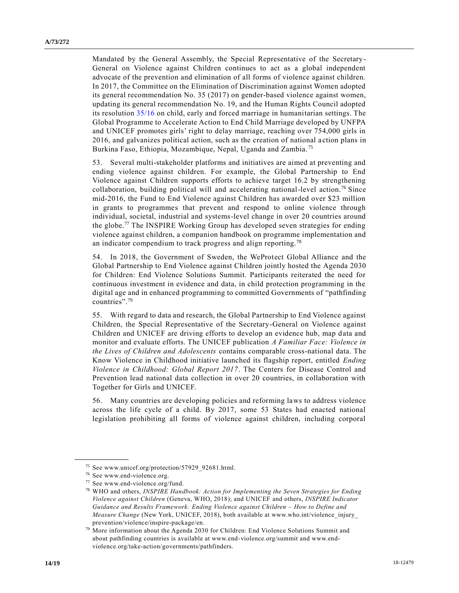Mandated by the General Assembly, the Special Representative of the Secretary-General on Violence against Children continues to act as a global independent advocate of the prevention and elimination of all forms of violence against children. In 2017, the Committee on the Elimination of Discrimination against Women adopted its general recommendation No. 35 (2017) on gender-based violence against women, updating its general recommendation No. 19, and the Human Rights Council adopted its resolution [35/16](https://undocs.org/A/RES/35/16) on child, early and forced marriage in humanitarian settings. The Global Programme to Accelerate Action to End Child Marriage developed by UNFPA and UNICEF promotes girls' right to delay marriage, reaching over 754,000 girls in 2016, and galvanizes political action, such as the creation of national a ction plans in Burkina Faso, Ethiopia, Mozambique, Nepal, Uganda and Zambia. <sup>75</sup>

53. Several multi-stakeholder platforms and initiatives are aimed at preventing and ending violence against children. For example, the Global Partnership to End Violence against Children supports efforts to achieve target 16.2 by strengthening collaboration, building political will and accelerating national-level action.<sup>76</sup> Since mid-2016, the Fund to End Violence against Children has awarded over \$23 million in grants to programmes that prevent and respond to online violence through individual, societal, industrial and systems-level change in over 20 countries around the globe.<sup>77</sup> The INSPIRE Working Group has developed seven strategies for ending violence against children, a companion handbook on programme implementation and an indicator compendium to track progress and align reporting.<sup>78</sup>

54. In 2018, the Government of Sweden, the WeProtect Global Alliance and the Global Partnership to End Violence against Children jointly hosted the Agenda 2030 for Children: End Violence Solutions Summit. Participants reiterated the need for continuous investment in evidence and data, in child protection programming in the digital age and in enhanced programming to committed Governments of "pathfinding countries".<sup>79</sup>

55. With regard to data and research, the Global Partnership to End Violence against Children, the Special Representative of the Secretary-General on Violence against Children and UNICEF are driving efforts to develop an evidence hub, map data and monitor and evaluate efforts. The UNICEF publication *A Familiar Face: Violence in the Lives of Children and Adolescents* contains comparable cross-national data. The Know Violence in Childhood initiative launched its flagship report, entitled *Ending Violence in Childhood: Global Report 2017*. The Centers for Disease Control and Prevention lead national data collection in over 20 countries, in collaboration with Together for Girls and UNICEF.

56. Many countries are developing policies and reforming laws to address violence across the life cycle of a child. By 2017, some 53 States had enacted national legislation prohibiting all forms of violence against children, including corporal

<sup>75</sup> See www.unicef.org/protection/57929\_92681.html.

<sup>76</sup> See www.end-violence.org.

<sup>77</sup> See www.end-violence.org/fund.

<sup>78</sup> WHO and others, *INSPIRE Handbook: Action for Implementing the Seven Strategies for Ending Violence against Children* (Geneva, WHO, 2018); and UNICEF and others, *INSPIRE Indicator Guidance and Results Framework: Ending Violence against Children – How to Define and Measure Change* (New York, UNICEF, 2018), both available at www.who.int/violence\_injury\_ prevention/violence/inspire-package/en.

<sup>79</sup> More information about the Agenda 2030 for Children: End Violence Solutions Summit and about pathfinding countries is available at www.end-violence.org/summit and www.endviolence.org/take-action/governments/pathfinders.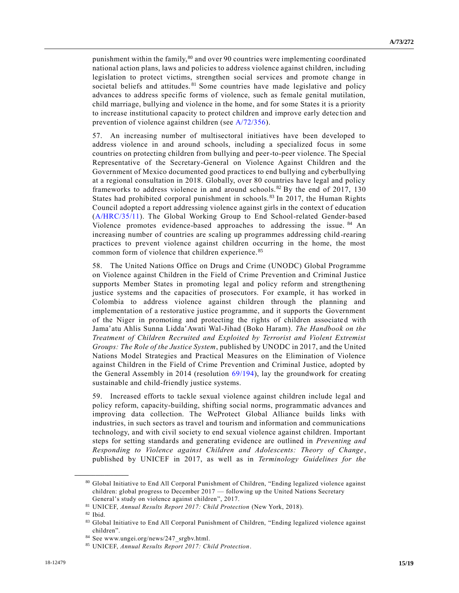punishment within the family,<sup>80</sup> and over 90 countries were implementing coordinated national action plans, laws and policies to address violence against children, including legislation to protect victims, strengthen social services and promote change in societal beliefs and attitudes. <sup>81</sup> Some countries have made legislative and policy advances to address specific forms of violence, such as female genital mutilation, child marriage, bullying and violence in the home, and for some States it is a priority to increase institutional capacity to protect children and improve early detec tion and prevention of violence against children (see [A/72/356\)](https://undocs.org/A/72/356).

57. An increasing number of multisectoral initiatives have been developed to address violence in and around schools, including a specialized focus in some countries on protecting children from bullying and peer-to-peer violence. The Special Representative of the Secretary-General on Violence Against Children and the Government of Mexico documented good practices to end bullying and cyberbullying at a regional consultation in 2018. Globally, over 80 countries have legal and policy frameworks to address violence in and around schools. <sup>82</sup> By the end of 2017, 130 States had prohibited corporal punishment in schools. <sup>83</sup> In 2017, the Human Rights Council adopted a report addressing violence against girls in the context of education [\(A/HRC/35/11\)](https://undocs.org/A/HRC/35/11). The Global Working Group to End School-related Gender-based Violence promotes evidence-based approaches to addressing the issue. <sup>84</sup> An increasing number of countries are scaling up programmes addressing child -rearing practices to prevent violence against children occurring in the home, the most common form of violence that children experience. <sup>85</sup>

58. The United Nations Office on Drugs and Crime (UNODC) Global Programme on Violence against Children in the Field of Crime Prevention and Criminal Justice supports Member States in promoting legal and policy reform and strengthening justice systems and the capacities of prosecutors. For example, it has worked in Colombia to address violence against children through the planning and implementation of a restorative justice programme, and it supports the Government of the Niger in promoting and protecting the rights of children associated with Jama'atu Ahlis Sunna Lidda'Awati Wal-Jihad (Boko Haram). *The Handbook on the Treatment of Children Recruited and Exploited by Terrorist and Violent Extremist Groups: The Role of the Justice System*, published by UNODC in 2017, and the United Nations Model Strategies and Practical Measures on the Elimination of Violence against Children in the Field of Crime Prevention and Criminal Justice, adopted by the General Assembly in 2014 (resolution [69/194\)](https://undocs.org/A/RES/69/194), lay the groundwork for creating sustainable and child-friendly justice systems.

59. Increased efforts to tackle sexual violence against children include legal and policy reform, capacity-building, shifting social norms, programmatic advances and improving data collection. The WeProtect Global Alliance builds links with industries, in such sectors as travel and tourism and information and communications technology, and with civil society to end sexual violence against children. Important steps for setting standards and generating evidence are outlined in *Preventing and Responding to Violence against Children and Adolescents: Theory of Change* , published by UNICEF in 2017, as well as in *Terminology Guidelines for the* 

<sup>80</sup> Global Initiative to End All Corporal Punishment of Children, "Ending legalized violence against children: global progress to December 2017 — following up the United Nations Secretary General's study on violence against children", 2017.

<sup>81</sup> UNICEF, *Annual Results Report 2017: Child Protection* (New York, 2018).

<sup>82</sup> Ibid.

<sup>83</sup> Global Initiative to End All Corporal Punishment of Children, "Ending legalized violence against children".

<sup>84</sup> See www.ungei.org/news/247\_srgbv.html.

<sup>85</sup> UNICEF, *Annual Results Report 2017: Child Protection*.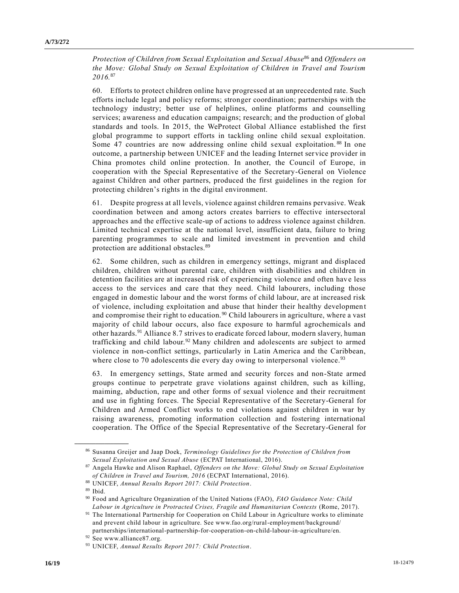*Protection of Children from Sexual Exploitation and Sexual Abuse*<sup>86</sup> and *Offenders on the Move: Global Study on Sexual Exploitation of Children in Travel and Tourism 2016.*<sup>87</sup>

60. Efforts to protect children online have progressed at an unprecedented rate. Such efforts include legal and policy reforms; stronger coordination; partnerships with the technology industry; better use of helplines, online platforms and counselling services; awareness and education campaigns; research; and the production of global standards and tools. In 2015, the WeProtect Global Alliance established the first global programme to support efforts in tackling online child sexual exploitation. Some 47 countries are now addressing online child sexual exploitation.<sup>88</sup> In one outcome, a partnership between UNICEF and the leading Internet service provider in China promotes child online protection. In another, the Council of Europe, in cooperation with the Special Representative of the Secretary-General on Violence against Children and other partners, produced the first guidelines in the region for protecting children's rights in the digital environment.

61. Despite progress at all levels, violence against children remains pervasive. Weak coordination between and among actors creates barriers to effective intersectoral approaches and the effective scale-up of actions to address violence against children. Limited technical expertise at the national level, insufficient data, failure to bring parenting programmes to scale and limited investment in prevention and child protection are additional obstacles.<sup>89</sup>

62. Some children, such as children in emergency settings, migrant and displaced children, children without parental care, children with disabilities and children in detention facilities are at increased risk of experiencing violence and often have less access to the services and care that they need. Child labourers, including those engaged in domestic labour and the worst forms of child labour, are at increased risk of violence, including exploitation and abuse that hinder their healthy developmen t and compromise their right to education.<sup>90</sup> Child labourers in agriculture, where a vast majority of child labour occurs, also face exposure to harmful agrochemicals and other hazards.<sup>91</sup> Alliance 8.7 strives to eradicate forced labour, modern slavery, human trafficking and child labour.<sup>92</sup> Many children and adolescents are subject to armed violence in non-conflict settings, particularly in Latin America and the Caribbean, where close to 70 adolescents die every day owing to interpersonal violence.<sup>93</sup>

63. In emergency settings, State armed and security forces and non-State armed groups continue to perpetrate grave violations against children, such as killing, maiming, abduction, rape and other forms of sexual violence and their recruitment and use in fighting forces. The Special Representative of the Secretary-General for Children and Armed Conflict works to end violations against children in war by raising awareness, promoting information collection and fostering international cooperation. The Office of the Special Representative of the Secretary-General for

<sup>86</sup> Susanna Greijer and Jaap Doek, *Terminology Guidelines for the Protection of Children from Sexual Exploitation and Sexual Abuse* (ECPAT International, 2016).

<sup>87</sup> Angela Hawke and Alison Raphael, *Offenders on the Move: Global Study on Sexual Exploitation of Children in Travel and Tourism, 2016* (ECPAT International, 2016).

<sup>88</sup> UNICEF, *Annual Results Report 2017: Child Protection*.

<sup>89</sup> Ibid.

<sup>90</sup> Food and Agriculture Organization of the United Nations (FAO), *FAO Guidance Note: Child Labour in Agriculture in Protracted Crises, Fragile and Humanitarian Contexts* (Rome, 2017).

<sup>91</sup> The International Partnership for Cooperation on Child Labour in Agriculture works to eliminate and prevent child labour in agriculture. See www.fao.org/rural-employment/background/ partnerships/international-partnership-for-cooperation-on-child-labour-in-agriculture/en.

<sup>92</sup> See www.alliance87.org.

<sup>93</sup> UNICEF, *Annual Results Report 2017: Child Protection*.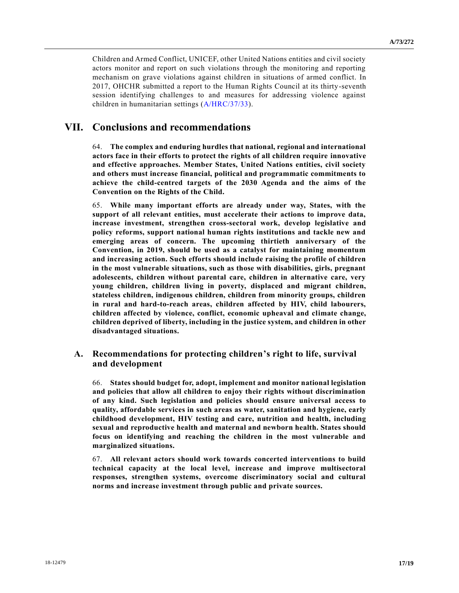Children and Armed Conflict, UNICEF, other United Nations entities and civil society actors monitor and report on such violations through the monitoring and reporting mechanism on grave violations against children in situations of armed conflict. In 2017, OHCHR submitted a report to the Human Rights Council at its thirty-seventh session identifying challenges to and measures for addressing violence against children in humanitarian settings [\(A/HRC/37/33\)](https://undocs.org/A/HRC/37/33).

### **VII. Conclusions and recommendations**

64. **The complex and enduring hurdles that national, regional and international actors face in their efforts to protect the rights of all children require innovative and effective approaches. Member States, United Nations entities, civil society and others must increase financial, political and programmatic commitments to achieve the child-centred targets of the 2030 Agenda and the aims of the Convention on the Rights of the Child.**

65. **While many important efforts are already under way, States, with the support of all relevant entities, must accelerate their actions to improve data, increase investment, strengthen cross-sectoral work, develop legislative and policy reforms, support national human rights institutions and tackle new and emerging areas of concern. The upcoming thirtieth anniversary of the Convention, in 2019, should be used as a catalyst for maintaining momentum and increasing action. Such efforts should include raising the profile of children in the most vulnerable situations, such as those with disabilities, girls, pregnant adolescents, children without parental care, children in alternative care, very young children, children living in poverty, displaced and migrant children, stateless children, indigenous children, children from minority groups, children in rural and hard-to-reach areas, children affected by HIV, child labourers, children affected by violence, conflict, economic upheaval and climate change, children deprived of liberty, including in the justice system, and children in other disadvantaged situations.**

#### **A. Recommendations for protecting children's right to life, survival and development**

66. **States should budget for, adopt, implement and monitor national legislation and policies that allow all children to enjoy their rights without discrimination of any kind. Such legislation and policies should ensure universal access to quality, affordable services in such areas as water, sanitation and hygiene, early childhood development, HIV testing and care, nutrition and health, including sexual and reproductive health and maternal and newborn health. States should focus on identifying and reaching the children in the most vulnerable and marginalized situations.**

67. **All relevant actors should work towards concerted interventions to build technical capacity at the local level, increase and improve multisectoral responses, strengthen systems, overcome discriminatory social and cultural norms and increase investment through public and private sources.**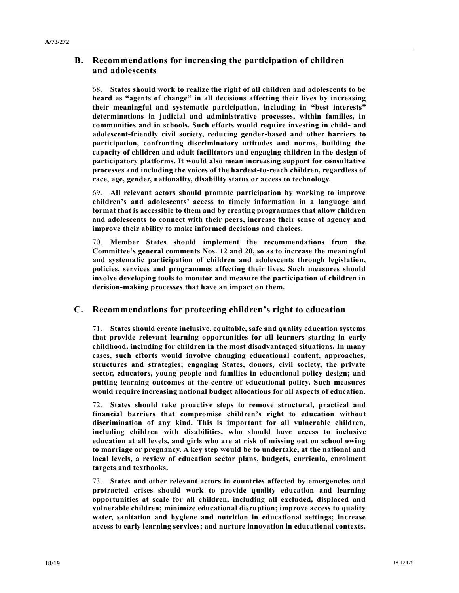### **B. Recommendations for increasing the participation of children and adolescents**

68. **States should work to realize the right of all children and adolescents to be heard as "agents of change" in all decisions affecting their lives by increasing their meaningful and systematic participation, including in "best interests" determinations in judicial and administrative processes, within families, in communities and in schools. Such efforts would require investing in child- and adolescent-friendly civil society, reducing gender-based and other barriers to participation, confronting discriminatory attitudes and norms, building the capacity of children and adult facilitators and engaging children in the design of participatory platforms. It would also mean increasing support for consultative processes and including the voices of the hardest-to-reach children, regardless of race, age, gender, nationality, disability status or access to technology.**

69. **All relevant actors should promote participation by working to improve children's and adolescents' access to timely information in a language and format that is accessible to them and by creating programmes that allow children and adolescents to connect with their peers, increase their sense of agency and improve their ability to make informed decisions and choices.**

70. **Member States should implement the recommendations from the Committee's general comments Nos. 12 and 20, so as to increase the meaningful and systematic participation of children and adolescents through legislation, policies, services and programmes affecting their lives. Such measures should involve developing tools to monitor and measure the participation of children in decision-making processes that have an impact on them.**

### **C. Recommendations for protecting children's right to education**

71. **States should create inclusive, equitable, safe and quality education systems that provide relevant learning opportunities for all learners starting in early childhood, including for children in the most disadvantaged situations. In many cases, such efforts would involve changing educational content, approaches, structures and strategies; engaging States, donors, civil society, the private sector, educators, young people and families in educational policy design; and putting learning outcomes at the centre of educational policy. Such measures would require increasing national budget allocations for all aspects of education.**

72. **States should take proactive steps to remove structural, practical and financial barriers that compromise children's right to education without discrimination of any kind. This is important for all vulnerable children, including children with disabilities, who should have access to inclusive education at all levels, and girls who are at risk of missing out on school owing to marriage or pregnancy. A key step would be to undertake, at the national and local levels, a review of education sector plans, budgets, curricula, enrolment targets and textbooks.**

73. **States and other relevant actors in countries affected by emergencies and protracted crises should work to provide quality education and learning opportunities at scale for all children, including all excluded, displaced and vulnerable children; minimize educational disruption; improve access to quality water, sanitation and hygiene and nutrition in educational settings; increase access to early learning services; and nurture innovation in educational contexts.**